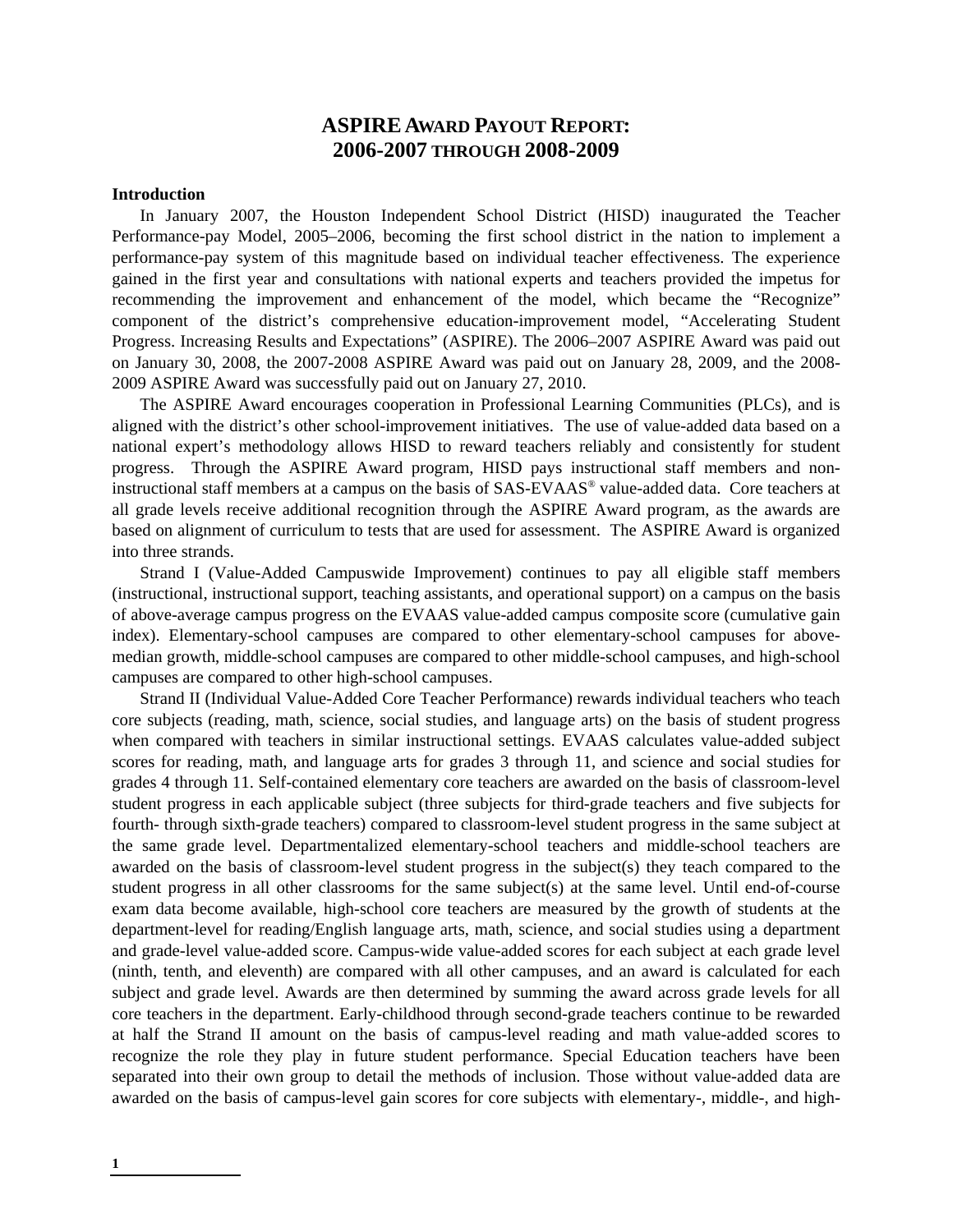# **ASPIRE AWARD PAYOUT REPORT: 2006-2007 THROUGH 2008-2009**

#### **Introduction**

In January 2007, the Houston Independent School District (HISD) inaugurated the Teacher Performance-pay Model, 2005–2006, becoming the first school district in the nation to implement a performance-pay system of this magnitude based on individual teacher effectiveness. The experience gained in the first year and consultations with national experts and teachers provided the impetus for recommending the improvement and enhancement of the model, which became the "Recognize" component of the district's comprehensive education-improvement model, "Accelerating Student Progress. Increasing Results and Expectations" (ASPIRE). The 2006–2007 ASPIRE Award was paid out on January 30, 2008, the 2007-2008 ASPIRE Award was paid out on January 28, 2009, and the 2008- 2009 ASPIRE Award was successfully paid out on January 27, 2010.

The ASPIRE Award encourages cooperation in Professional Learning Communities (PLCs), and is aligned with the district's other school-improvement initiatives. The use of value-added data based on a national expert's methodology allows HISD to reward teachers reliably and consistently for student progress. Through the ASPIRE Award program, HISD pays instructional staff members and noninstructional staff members at a campus on the basis of SAS-EVAAS® value-added data. Core teachers at all grade levels receive additional recognition through the ASPIRE Award program, as the awards are based on alignment of curriculum to tests that are used for assessment. The ASPIRE Award is organized into three strands.

Strand I (Value-Added Campuswide Improvement) continues to pay all eligible staff members (instructional, instructional support, teaching assistants, and operational support) on a campus on the basis of above-average campus progress on the EVAAS value-added campus composite score (cumulative gain index). Elementary-school campuses are compared to other elementary-school campuses for abovemedian growth, middle-school campuses are compared to other middle-school campuses, and high-school campuses are compared to other high-school campuses.

Strand II (Individual Value-Added Core Teacher Performance) rewards individual teachers who teach core subjects (reading, math, science, social studies, and language arts) on the basis of student progress when compared with teachers in similar instructional settings. EVAAS calculates value-added subject scores for reading, math, and language arts for grades 3 through 11, and science and social studies for grades 4 through 11. Self-contained elementary core teachers are awarded on the basis of classroom-level student progress in each applicable subject (three subjects for third-grade teachers and five subjects for fourth- through sixth-grade teachers) compared to classroom-level student progress in the same subject at the same grade level. Departmentalized elementary-school teachers and middle-school teachers are awarded on the basis of classroom-level student progress in the subject(s) they teach compared to the student progress in all other classrooms for the same subject(s) at the same level. Until end-of-course exam data become available, high-school core teachers are measured by the growth of students at the department-level for reading/English language arts, math, science, and social studies using a department and grade-level value-added score. Campus-wide value-added scores for each subject at each grade level (ninth, tenth, and eleventh) are compared with all other campuses, and an award is calculated for each subject and grade level. Awards are then determined by summing the award across grade levels for all core teachers in the department. Early-childhood through second-grade teachers continue to be rewarded at half the Strand II amount on the basis of campus-level reading and math value-added scores to recognize the role they play in future student performance. Special Education teachers have been separated into their own group to detail the methods of inclusion. Those without value-added data are awarded on the basis of campus-level gain scores for core subjects with elementary-, middle-, and high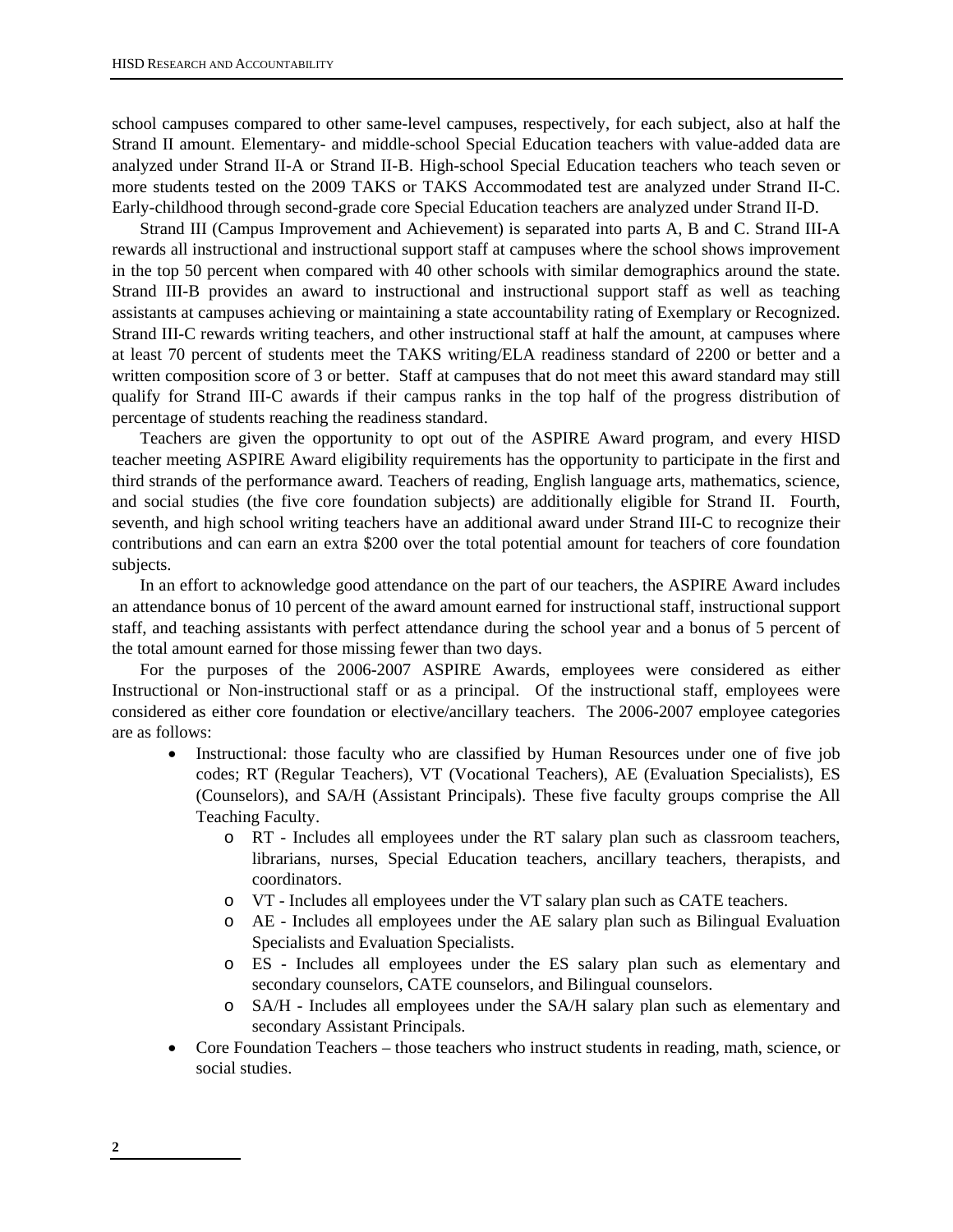school campuses compared to other same-level campuses, respectively, for each subject, also at half the Strand II amount. Elementary- and middle-school Special Education teachers with value-added data are analyzed under Strand II-A or Strand II-B. High-school Special Education teachers who teach seven or more students tested on the 2009 TAKS or TAKS Accommodated test are analyzed under Strand II-C. Early-childhood through second-grade core Special Education teachers are analyzed under Strand II-D.

Strand III (Campus Improvement and Achievement) is separated into parts A, B and C. Strand III-A rewards all instructional and instructional support staff at campuses where the school shows improvement in the top 50 percent when compared with 40 other schools with similar demographics around the state. Strand III-B provides an award to instructional and instructional support staff as well as teaching assistants at campuses achieving or maintaining a state accountability rating of Exemplary or Recognized. Strand III-C rewards writing teachers, and other instructional staff at half the amount, at campuses where at least 70 percent of students meet the TAKS writing/ELA readiness standard of 2200 or better and a written composition score of 3 or better. Staff at campuses that do not meet this award standard may still qualify for Strand III-C awards if their campus ranks in the top half of the progress distribution of percentage of students reaching the readiness standard.

Teachers are given the opportunity to opt out of the ASPIRE Award program, and every HISD teacher meeting ASPIRE Award eligibility requirements has the opportunity to participate in the first and third strands of the performance award. Teachers of reading, English language arts, mathematics, science, and social studies (the five core foundation subjects) are additionally eligible for Strand II. Fourth, seventh, and high school writing teachers have an additional award under Strand III-C to recognize their contributions and can earn an extra \$200 over the total potential amount for teachers of core foundation subjects.

In an effort to acknowledge good attendance on the part of our teachers, the ASPIRE Award includes an attendance bonus of 10 percent of the award amount earned for instructional staff, instructional support staff, and teaching assistants with perfect attendance during the school year and a bonus of 5 percent of the total amount earned for those missing fewer than two days.

For the purposes of the 2006-2007 ASPIRE Awards, employees were considered as either Instructional or Non-instructional staff or as a principal. Of the instructional staff, employees were considered as either core foundation or elective/ancillary teachers. The 2006-2007 employee categories are as follows:

- Instructional: those faculty who are classified by Human Resources under one of five job codes; RT (Regular Teachers), VT (Vocational Teachers), AE (Evaluation Specialists), ES (Counselors), and SA/H (Assistant Principals). These five faculty groups comprise the All Teaching Faculty.
	- o RT Includes all employees under the RT salary plan such as classroom teachers, librarians, nurses, Special Education teachers, ancillary teachers, therapists, and coordinators.
	- o VT Includes all employees under the VT salary plan such as CATE teachers.
	- o AE Includes all employees under the AE salary plan such as Bilingual Evaluation Specialists and Evaluation Specialists.
	- o ES Includes all employees under the ES salary plan such as elementary and secondary counselors, CATE counselors, and Bilingual counselors.
	- o SA/H Includes all employees under the SA/H salary plan such as elementary and secondary Assistant Principals.
- Core Foundation Teachers those teachers who instruct students in reading, math, science, or social studies.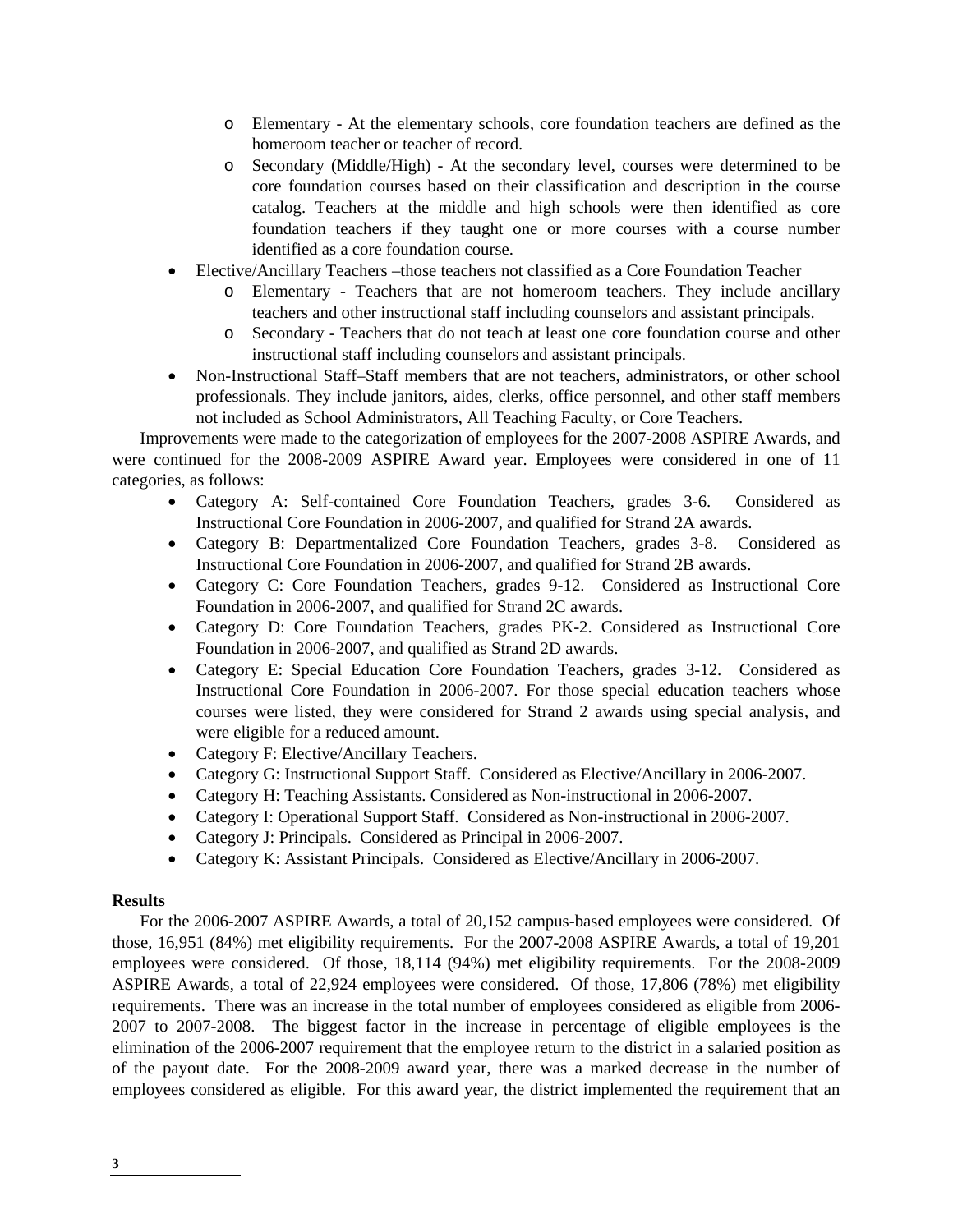- o Elementary At the elementary schools, core foundation teachers are defined as the homeroom teacher or teacher of record.
- o Secondary (Middle/High) At the secondary level, courses were determined to be core foundation courses based on their classification and description in the course catalog. Teachers at the middle and high schools were then identified as core foundation teachers if they taught one or more courses with a course number identified as a core foundation course.
- Elective/Ancillary Teachers –those teachers not classified as a Core Foundation Teacher
	- o Elementary Teachers that are not homeroom teachers. They include ancillary teachers and other instructional staff including counselors and assistant principals.
	- o Secondary Teachers that do not teach at least one core foundation course and other instructional staff including counselors and assistant principals.
- Non-Instructional Staff–Staff members that are not teachers, administrators, or other school professionals. They include janitors, aides, clerks, office personnel, and other staff members not included as School Administrators, All Teaching Faculty, or Core Teachers.

Improvements were made to the categorization of employees for the 2007-2008 ASPIRE Awards, and were continued for the 2008-2009 ASPIRE Award year. Employees were considered in one of 11 categories, as follows:

- Category A: Self-contained Core Foundation Teachers, grades 3-6. Considered as Instructional Core Foundation in 2006-2007, and qualified for Strand 2A awards.
- Category B: Departmentalized Core Foundation Teachers, grades 3-8. Considered as Instructional Core Foundation in 2006-2007, and qualified for Strand 2B awards.
- Category C: Core Foundation Teachers, grades 9-12. Considered as Instructional Core Foundation in 2006-2007, and qualified for Strand 2C awards.
- Category D: Core Foundation Teachers, grades PK-2. Considered as Instructional Core Foundation in 2006-2007, and qualified as Strand 2D awards.
- Category E: Special Education Core Foundation Teachers, grades 3-12. Considered as Instructional Core Foundation in 2006-2007. For those special education teachers whose courses were listed, they were considered for Strand 2 awards using special analysis, and were eligible for a reduced amount.
- Category F: Elective/Ancillary Teachers.
- Category G: Instructional Support Staff. Considered as Elective/Ancillary in 2006-2007.
- Category H: Teaching Assistants. Considered as Non-instructional in 2006-2007.
- Category I: Operational Support Staff. Considered as Non-instructional in 2006-2007.
- Category J: Principals. Considered as Principal in 2006-2007.
- Category K: Assistant Principals. Considered as Elective/Ancillary in 2006-2007.

### **Results**

For the 2006-2007 ASPIRE Awards, a total of 20,152 campus-based employees were considered. Of those, 16,951 (84%) met eligibility requirements. For the 2007-2008 ASPIRE Awards, a total of 19,201 employees were considered. Of those, 18,114 (94%) met eligibility requirements. For the 2008-2009 ASPIRE Awards, a total of 22,924 employees were considered. Of those, 17,806 (78%) met eligibility requirements. There was an increase in the total number of employees considered as eligible from 2006- 2007 to 2007-2008. The biggest factor in the increase in percentage of eligible employees is the elimination of the 2006-2007 requirement that the employee return to the district in a salaried position as of the payout date. For the 2008-2009 award year, there was a marked decrease in the number of employees considered as eligible. For this award year, the district implemented the requirement that an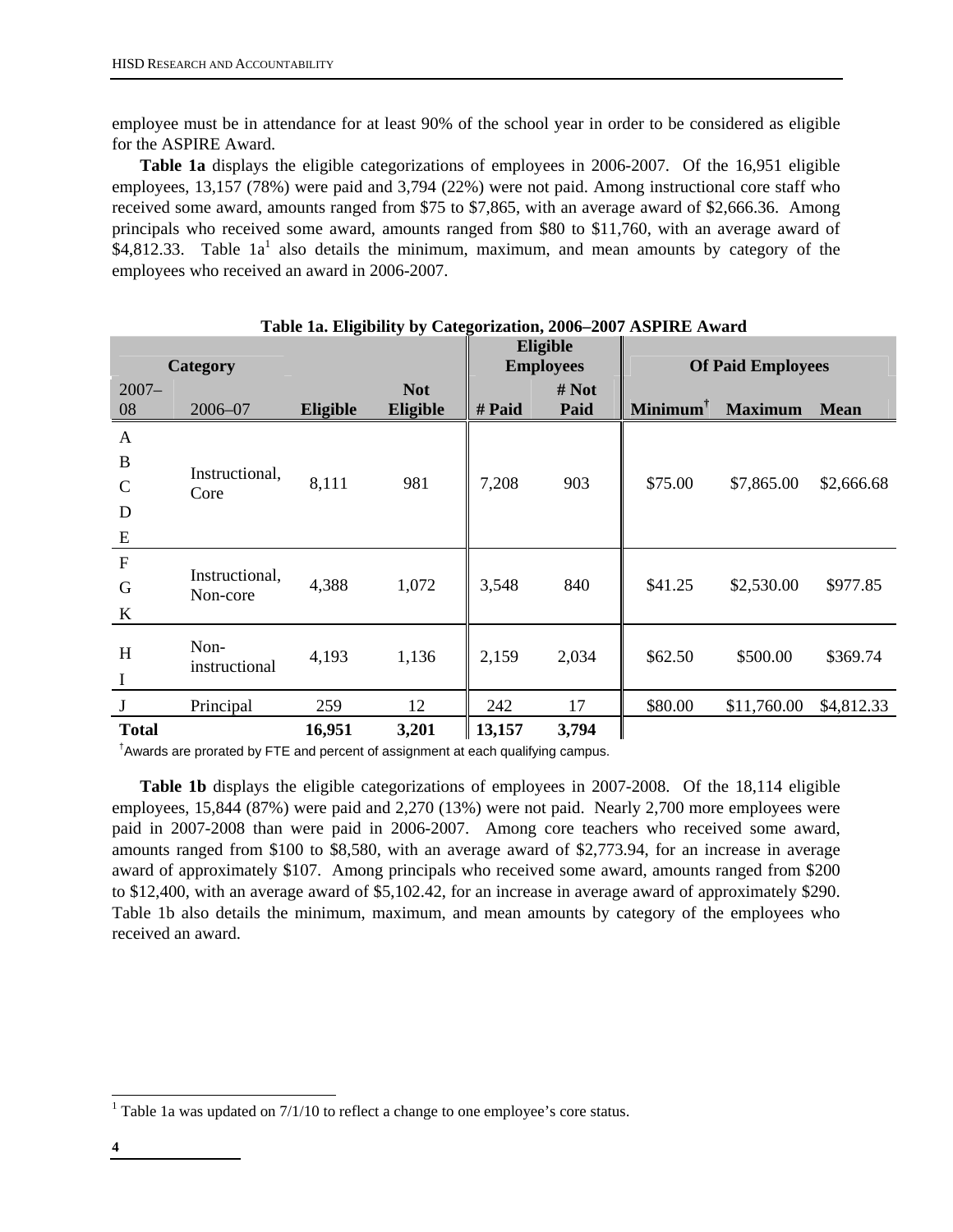employee must be in attendance for at least 90% of the school year in order to be considered as eligible for the ASPIRE Award.

**Table 1a** displays the eligible categorizations of employees in 2006-2007. Of the 16,951 eligible employees, 13,157 (78%) were paid and 3,794 (22%) were not paid. Among instructional core staff who received some award, amounts ranged from \$75 to \$7,865, with an average award of \$2,666.36. Among principals who received some award, amounts ranged from \$80 to \$11,760, with an average award of \$4,812.33. Table  $1a<sup>1</sup>$  also details the minimum, maximum, and mean amounts by category of the employees who received an award in 2006-2007.

|                                                         | Category                   |                 |                        |        | Eligible<br><b>Employees</b> |            | <b>Of Paid Employees</b> |             |
|---------------------------------------------------------|----------------------------|-----------------|------------------------|--------|------------------------------|------------|--------------------------|-------------|
| $2007 -$<br>08                                          | $2006 - 07$                | <b>Eligible</b> | <b>Not</b><br>Eligible | # Paid | # Not<br>Paid                | $Minimum†$ | <b>Maximum</b>           | <b>Mean</b> |
| $\mathbf{A}$<br>$\, {\bf B}$<br>$\mathcal{C}$<br>D<br>E | Instructional,<br>Core     | 8,111           | 981                    | 7,208  | 903                          | \$75.00    | \$7,865.00               | \$2,666.68  |
| $\mathbf F$<br>G<br>$\bf K$                             | Instructional,<br>Non-core | 4,388           | 1,072                  | 3,548  | 840                          | \$41.25    | \$2,530.00               | \$977.85    |
| H<br>$\mathbf I$                                        | Non-<br>instructional      | 4,193           | 1,136                  | 2,159  | 2,034                        | \$62.50    | \$500.00                 | \$369.74    |
|                                                         | Principal                  | 259             | 12                     | 242    | 17                           | \$80.00    | \$11,760.00              | \$4,812.33  |
| <b>Total</b>                                            |                            | 16,951          | 3,201                  | 13,157 | 3,794                        |            |                          |             |

**Table 1a. Eligibility by Categorization, 2006–2007 ASPIRE Award** 

† Awards are prorated by FTE and percent of assignment at each qualifying campus.

**Table 1b** displays the eligible categorizations of employees in 2007-2008. Of the 18,114 eligible employees, 15,844 (87%) were paid and 2,270 (13%) were not paid. Nearly 2,700 more employees were paid in 2007-2008 than were paid in 2006-2007. Among core teachers who received some award, amounts ranged from \$100 to \$8,580, with an average award of \$2,773.94, for an increase in average award of approximately \$107. Among principals who received some award, amounts ranged from \$200 to \$12,400, with an average award of \$5,102.42, for an increase in average award of approximately \$290. Table 1b also details the minimum, maximum, and mean amounts by category of the employees who received an award.

 $\overline{a}$ 

<sup>&</sup>lt;sup>1</sup> Table 1a was updated on  $7/1/10$  to reflect a change to one employee's core status.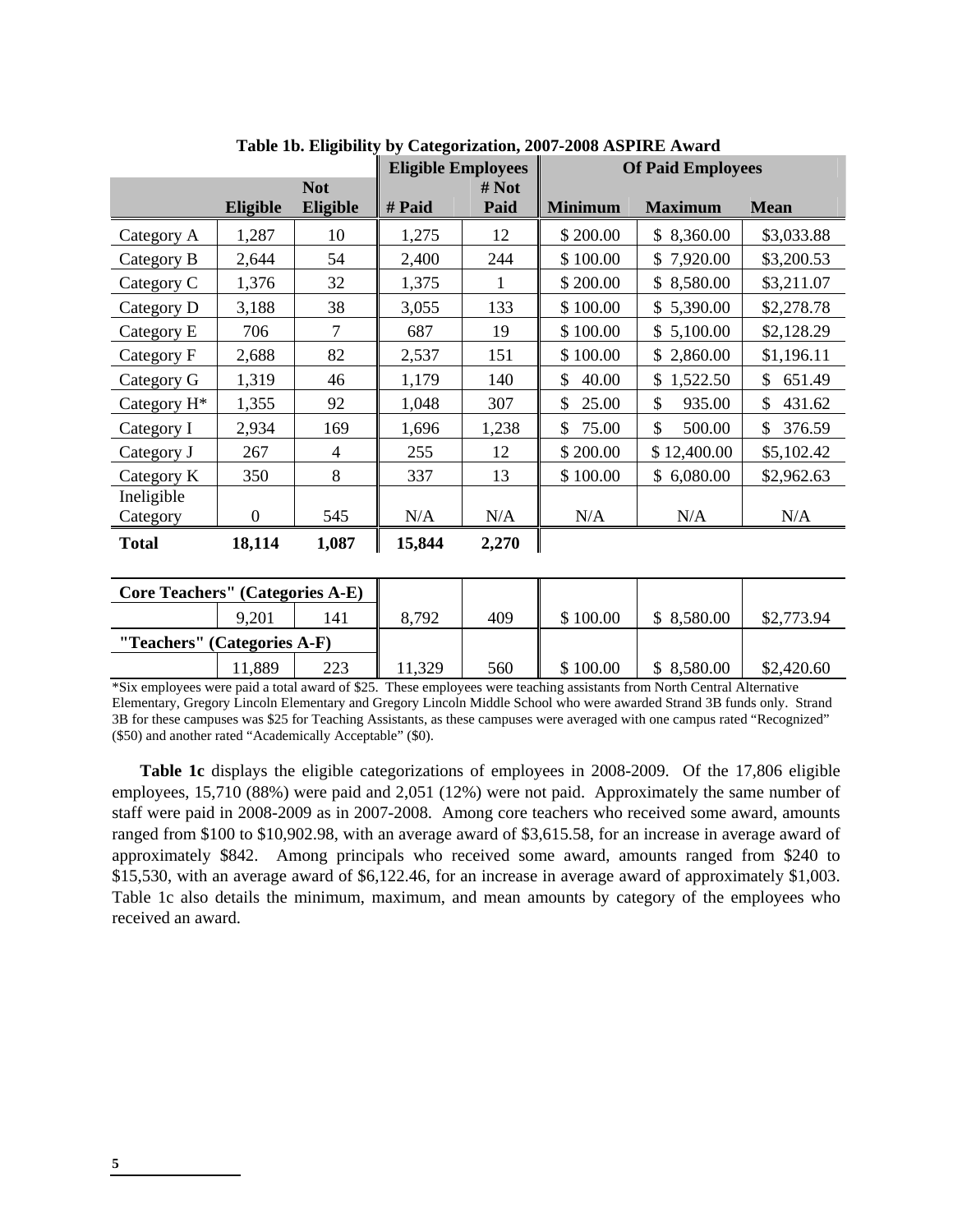|                         |              | $\frac{1}{2}$ | <b>Eligible Employees</b> | $\sim$       | <b>Of Paid Employees</b> |                |              |  |
|-------------------------|--------------|---------------|---------------------------|--------------|--------------------------|----------------|--------------|--|
|                         |              | <b>Not</b>    |                           | # Not        |                          |                |              |  |
|                         | Eligible     | Eligible      | # Paid                    | Paid         | <b>Minimum</b>           | <b>Maximum</b> | <b>Mean</b>  |  |
| Category A              | 1,287        | 10            | 1,275                     | 12           | \$200.00                 | \$8,360.00     | \$3,033.88   |  |
| Category B              | 2,644        | 54            | 2,400                     | 244          | \$100.00                 | \$7,920.00     | \$3,200.53   |  |
| Category C              | 1,376        | 32            | 1,375                     | $\mathbf{1}$ | \$200.00                 | \$8,580.00     | \$3,211.07   |  |
| Category D              | 3,188        | 38            | 3,055                     | 133          | \$100.00                 | \$5,390.00     | \$2,278.78   |  |
| Category E              | 706          | $\tau$        | 687                       | 19           | \$100.00                 | \$5,100.00     | \$2,128.29   |  |
| Category F              | 2,688        | 82            | 2,537                     | 151          | \$100.00                 | \$2,860.00     | \$1,196.11   |  |
| Category G              | 1,319        | 46            | 1,179                     | 140          | 40.00<br>\$              | 1,522.50<br>\$ | 651.49<br>\$ |  |
| Category H <sup>*</sup> | 1,355        | 92            | 1,048                     | 307          | \$<br>25.00              | 935.00<br>\$   | \$<br>431.62 |  |
| Category I              | 2,934        | 169           | 1,696                     | 1,238        | 75.00<br>\$              | \$<br>500.00   | 376.59<br>\$ |  |
| Category J              | 267          | 4             | 255                       | 12           | \$200.00                 | \$12,400.00    | \$5,102.42   |  |
| Category K              | 350          | 8             | 337                       | 13           | \$100.00                 | \$6,080.00     | \$2,962.63   |  |
| Ineligible              |              |               |                           |              |                          |                |              |  |
| Category                | $\mathbf{0}$ | 545           | N/A                       | N/A          | N/A                      | N/A            | N/A          |  |
| <b>Total</b>            | 18,114       | 1,087         | 15,844                    | 2,270        |                          |                |              |  |

**Table 1b. Eligibility by Categorization, 2007-2008 ASPIRE Award** 

| <b>Core Teachers'' (Categories A-E)</b> |       |     |       |     |          |            |            |
|-----------------------------------------|-------|-----|-------|-----|----------|------------|------------|
|                                         | 9,201 | 41  | 8.792 | 409 | \$100.00 | \$8,580.00 | \$2,773.94 |
| "Teachers" (Categories A-F)             |       |     |       |     |          |            |            |
|                                         | 1,889 | 223 | 1,329 | 560 | \$100.00 | \$8,580.00 | \$2,420.60 |

\*Six employees were paid a total award of \$25. These employees were teaching assistants from North Central Alternative Elementary, Gregory Lincoln Elementary and Gregory Lincoln Middle School who were awarded Strand 3B funds only. Strand 3B for these campuses was \$25 for Teaching Assistants, as these campuses were averaged with one campus rated "Recognized" (\$50) and another rated "Academically Acceptable" (\$0).

**Table 1c** displays the eligible categorizations of employees in 2008-2009. Of the 17,806 eligible employees, 15,710 (88%) were paid and 2,051 (12%) were not paid. Approximately the same number of staff were paid in 2008-2009 as in 2007-2008. Among core teachers who received some award, amounts ranged from \$100 to \$10,902.98, with an average award of \$3,615.58, for an increase in average award of approximately \$842. Among principals who received some award, amounts ranged from \$240 to \$15,530, with an average award of \$6,122.46, for an increase in average award of approximately \$1,003. Table 1c also details the minimum, maximum, and mean amounts by category of the employees who received an award.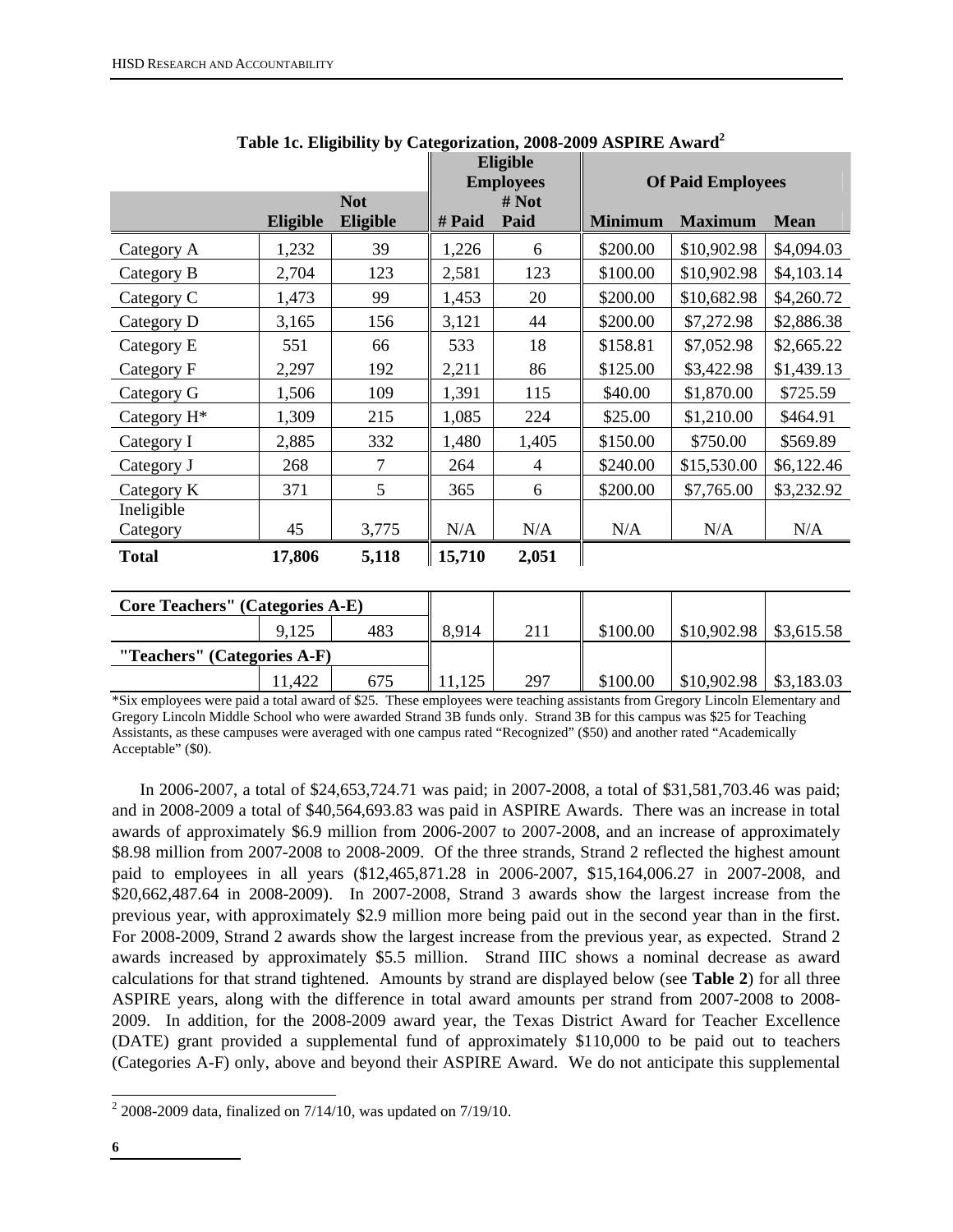|                        |                 |                        |        | Eligible<br><b>Employees</b> |                | <b>Of Paid Employees</b> |             |
|------------------------|-----------------|------------------------|--------|------------------------------|----------------|--------------------------|-------------|
|                        | <b>Eligible</b> | <b>Not</b><br>Eligible | # Paid | # Not<br>Paid                | <b>Minimum</b> | <b>Maximum</b>           | <b>Mean</b> |
| Category A             | 1,232           | 39                     | 1,226  | 6                            | \$200.00       | \$10,902.98              | \$4,094.03  |
| Category B             | 2,704           | 123                    | 2,581  | 123                          | \$100.00       | \$10,902.98              | \$4,103.14  |
| Category C             | 1,473           | 99                     | 1,453  | 20                           | \$200.00       | \$10,682.98              | \$4,260.72  |
| Category D             | 3,165           | 156                    | 3,121  | 44                           | \$200.00       | \$7,272.98               | \$2,886.38  |
| Category E             | 551             | 66                     | 533    | 18                           | \$158.81       | \$7,052.98               | \$2,665.22  |
| Category F             | 2,297           | 192                    | 2,211  | 86                           | \$125.00       | \$3,422.98               | \$1,439.13  |
| Category G             | 1,506           | 109                    | 1,391  | 115                          | \$40.00        | \$1,870.00               | \$725.59    |
| Category $H^*$         | 1,309           | 215                    | 1,085  | 224                          | \$25.00        | \$1,210.00               | \$464.91    |
| Category I             | 2,885           | 332                    | 1,480  | 1,405                        | \$150.00       | \$750.00                 | \$569.89    |
| Category J             | 268             | 7                      | 264    | 4                            | \$240.00       | \$15,530.00              | \$6,122.46  |
| Category K             | 371             | 5                      | 365    | 6                            | \$200.00       | \$7,765.00               | \$3,232.92  |
| Ineligible<br>Category | 45              | 3,775                  | N/A    | N/A                          | N/A            | N/A                      | N/A         |
| <b>Total</b>           | 17,806          | 5,118                  | 15,710 | 2,051                        |                |                          |             |

|  |  | Table 1c. Eligibility by Categorization, 2008-2009 ASPIRE Award <sup>2</sup> |
|--|--|------------------------------------------------------------------------------|
|  |  |                                                                              |

| <b>Core Teachers'' (Categories A-E)</b> |       |     |       |     |          |             |            |
|-----------------------------------------|-------|-----|-------|-----|----------|-------------|------------|
|                                         | 9,125 | 483 | 8.914 | 211 | \$100.00 | \$10,902.98 | \$3,615.58 |
| "Teachers" (Categories A-F)             |       |     |       |     |          |             |            |
|                                         | 1,422 | 675 | 125   | 297 | \$100.00 | \$10,902.98 | \$3,183.03 |

\*Six employees were paid a total award of \$25. These employees were teaching assistants from Gregory Lincoln Elementary and Gregory Lincoln Middle School who were awarded Strand 3B funds only. Strand 3B for this campus was \$25 for Teaching Assistants, as these campuses were averaged with one campus rated "Recognized" (\$50) and another rated "Academically Acceptable" (\$0).

In 2006-2007, a total of \$24,653,724.71 was paid; in 2007-2008, a total of \$31,581,703.46 was paid; and in 2008-2009 a total of \$40,564,693.83 was paid in ASPIRE Awards. There was an increase in total awards of approximately \$6.9 million from 2006-2007 to 2007-2008, and an increase of approximately \$8.98 million from 2007-2008 to 2008-2009. Of the three strands, Strand 2 reflected the highest amount paid to employees in all years (\$12,465,871.28 in 2006-2007, \$15,164,006.27 in 2007-2008, and \$20,662,487.64 in 2008-2009). In 2007-2008, Strand 3 awards show the largest increase from the previous year, with approximately \$2.9 million more being paid out in the second year than in the first. For 2008-2009, Strand 2 awards show the largest increase from the previous year, as expected. Strand 2 awards increased by approximately \$5.5 million. Strand IIIC shows a nominal decrease as award calculations for that strand tightened. Amounts by strand are displayed below (see **Table 2**) for all three ASPIRE years, along with the difference in total award amounts per strand from 2007-2008 to 2008- 2009. In addition, for the 2008-2009 award year, the Texas District Award for Teacher Excellence (DATE) grant provided a supplemental fund of approximately \$110,000 to be paid out to teachers (Categories A-F) only, above and beyond their ASPIRE Award. We do not anticipate this supplemental

 $\overline{a}$ 

 $2\,2008 - 2009$  data, finalized on  $7/14/10$ , was updated on  $7/19/10$ .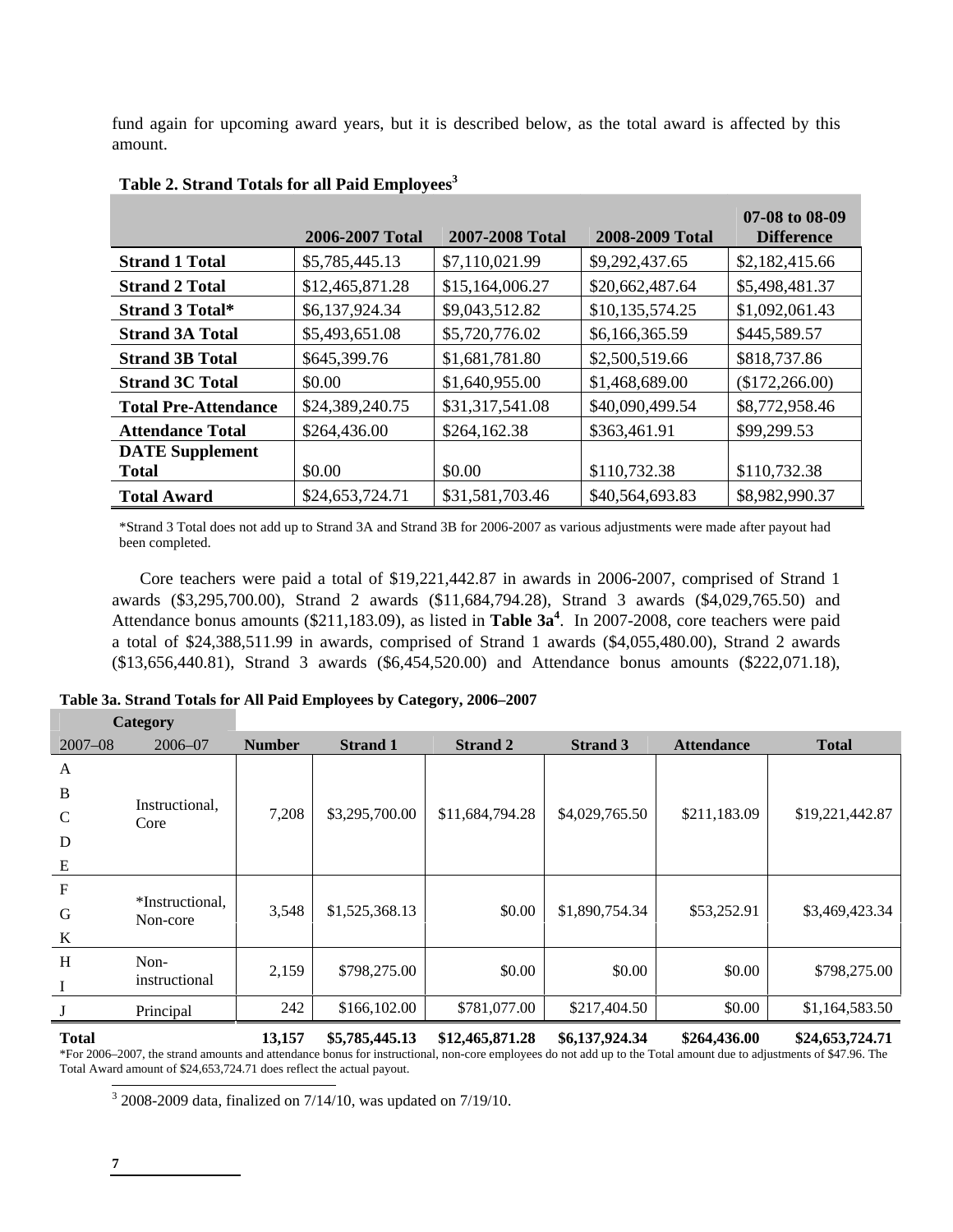fund again for upcoming award years, but it is described below, as the total award is affected by this amount.

|                             | 2006-2007 Total | 2007-2008 Total | 2008-2009 Total | 07-08 to 08-09<br><b>Difference</b> |
|-----------------------------|-----------------|-----------------|-----------------|-------------------------------------|
| <b>Strand 1 Total</b>       | \$5,785,445.13  | \$7,110,021.99  | \$9,292,437.65  | \$2,182,415.66                      |
| <b>Strand 2 Total</b>       | \$12,465,871.28 | \$15,164,006.27 | \$20,662,487.64 | \$5,498,481.37                      |
| <b>Strand 3 Total*</b>      | \$6,137,924.34  | \$9,043,512.82  | \$10,135,574.25 | \$1,092,061.43                      |
| <b>Strand 3A Total</b>      | \$5,493,651.08  | \$5,720,776.02  | \$6,166,365.59  | \$445,589.57                        |
| <b>Strand 3B Total</b>      | \$645,399.76    | \$1,681,781.80  | \$2,500,519.66  | \$818,737.86                        |
| <b>Strand 3C Total</b>      | \$0.00          | \$1,640,955.00  | \$1,468,689.00  | (\$172,266.00)                      |
| <b>Total Pre-Attendance</b> | \$24,389,240.75 | \$31,317,541.08 | \$40,090,499.54 | \$8,772,958.46                      |
| <b>Attendance Total</b>     | \$264,436.00    | \$264,162.38    | \$363,461.91    | \$99,299.53                         |
| <b>DATE</b> Supplement      |                 |                 |                 |                                     |
| <b>Total</b>                | \$0.00          | \$0.00          | \$110,732.38    | \$110,732.38                        |
| <b>Total Award</b>          | \$24,653,724.71 | \$31,581,703.46 | \$40,564,693.83 | \$8,982,990.37                      |

## Table 2. Strand Totals for all Paid Employees<sup>3</sup>

\*Strand 3 Total does not add up to Strand 3A and Strand 3B for 2006-2007 as various adjustments were made after payout had been completed.

Core teachers were paid a total of \$19,221,442.87 in awards in 2006-2007, comprised of Strand 1 awards (\$3,295,700.00), Strand 2 awards (\$11,684,794.28), Strand 3 awards (\$4,029,765.50) and Attendance bonus amounts (\$211,183.09), as listed in **Table 3a<sup>4</sup>** . In 2007-2008, core teachers were paid a total of \$24,388,511.99 in awards, comprised of Strand 1 awards (\$4,055,480.00), Strand 2 awards (\$13,656,440.81), Strand 3 awards (\$6,454,520.00) and Attendance bonus amounts (\$222,071.18),

|                           | <b>Category</b>             |               |                 |                 |                 |                   |                 |
|---------------------------|-----------------------------|---------------|-----------------|-----------------|-----------------|-------------------|-----------------|
| $2007 - 08$               | $2006 - 07$                 | <b>Number</b> | <b>Strand 1</b> | <b>Strand 2</b> | <b>Strand 3</b> | <b>Attendance</b> | <b>Total</b>    |
| A                         |                             |               |                 |                 |                 |                   |                 |
| $\, {\bf B}$              |                             |               |                 |                 |                 |                   |                 |
| $\mathsf{C}$              | Instructional,<br>Core      | 7,208         | \$3,295,700.00  | \$11,684,794.28 | \$4,029,765.50  | \$211,183.09      | \$19,221,442.87 |
| D                         |                             |               |                 |                 |                 |                   |                 |
| E                         |                             |               |                 |                 |                 |                   |                 |
| $\boldsymbol{\mathrm{F}}$ |                             |               |                 |                 |                 |                   |                 |
| G                         | *Instructional.<br>Non-core | 3,548         | \$1,525,368.13  | \$0.00          | \$1,890,754.34  | \$53,252.91       | \$3,469,423.34  |
| $\bf K$                   |                             |               |                 |                 |                 |                   |                 |
| H                         | Non-                        | 2,159         | \$798,275.00    | \$0.00          | \$0.00          | \$0.00            | \$798,275.00    |
| $\bf{I}$                  | instructional               |               |                 |                 |                 |                   |                 |
|                           | Principal                   | 242           | \$166,102.00    | \$781,077.00    | \$217,404.50    | \$0.00            | \$1,164,583.50  |
| -- -                      |                             |               |                 |                 |                 |                   |                 |

**Total 13,157 \$5,785,445.13 \$12,465,871.28 \$6,137,924.34 \$264,436.00 \$24,653,724.71**  \*For 2006–2007, the strand amounts and attendance bonus for instructional, non-core employees do not add up to the Total amount due to adjustments of \$47.96. The Total Award amount of \$24,653,724.71 does reflect the actual payout.

<sup>3</sup> 2008-2009 data, finalized on 7/14/10, was updated on 7/19/10.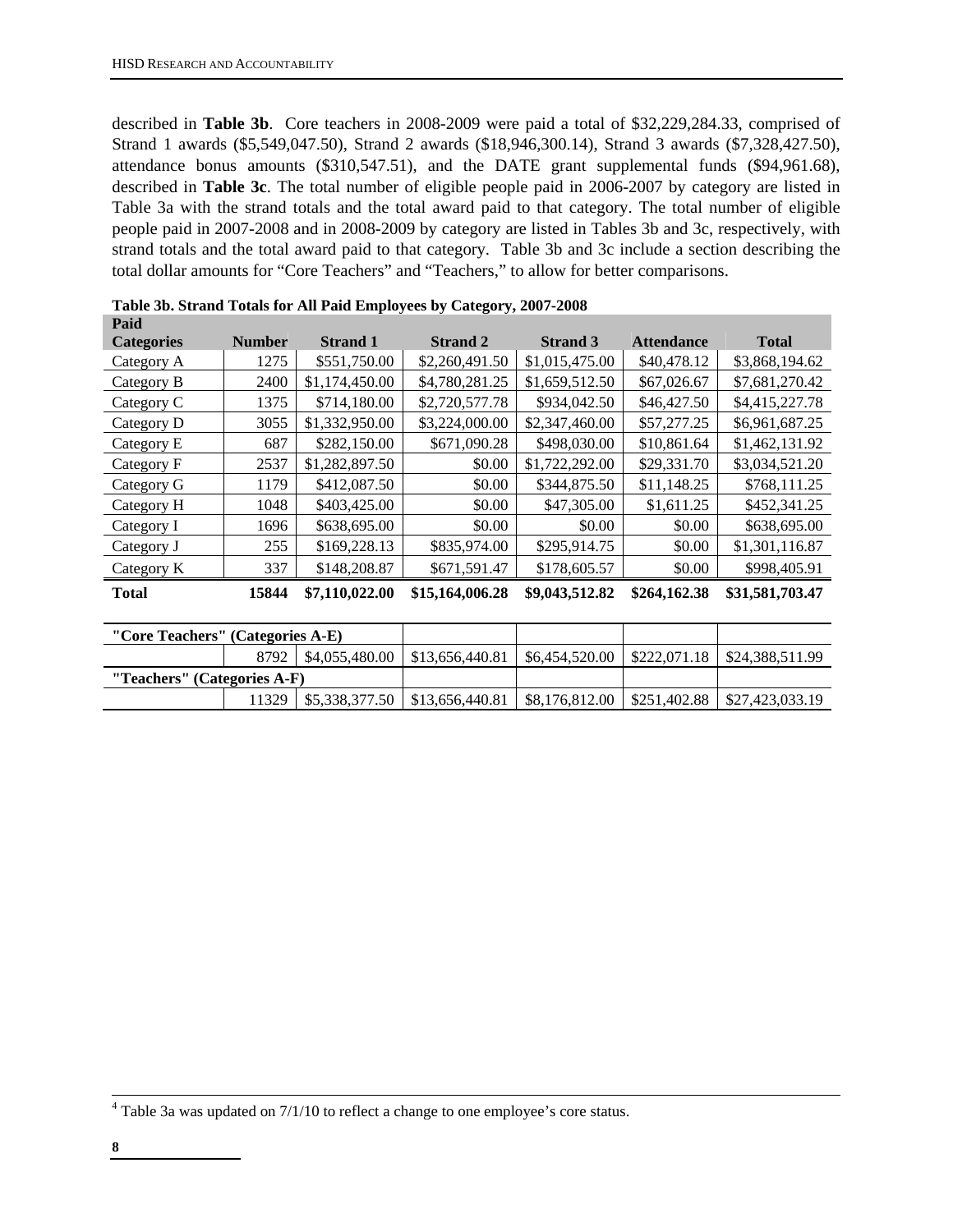described in **Table 3b**. Core teachers in 2008-2009 were paid a total of \$32,229,284.33, comprised of Strand 1 awards (\$5,549,047.50), Strand 2 awards (\$18,946,300.14), Strand 3 awards (\$7,328,427.50), attendance bonus amounts (\$310,547.51), and the DATE grant supplemental funds (\$94,961.68), described in **Table 3c**. The total number of eligible people paid in 2006-2007 by category are listed in Table 3a with the strand totals and the total award paid to that category. The total number of eligible people paid in 2007-2008 and in 2008-2009 by category are listed in Tables 3b and 3c, respectively, with strand totals and the total award paid to that category. Table 3b and 3c include a section describing the total dollar amounts for "Core Teachers" and "Teachers," to allow for better comparisons.

| Paid              |               |                 |                 |                 |                   |                 |
|-------------------|---------------|-----------------|-----------------|-----------------|-------------------|-----------------|
| <b>Categories</b> | <b>Number</b> | <b>Strand 1</b> | <b>Strand 2</b> | <b>Strand 3</b> | <b>Attendance</b> | <b>Total</b>    |
| Category A        | 1275          | \$551,750.00    | \$2,260,491.50  | \$1,015,475.00  | \$40,478.12       | \$3,868,194.62  |
| Category B        | 2400          | \$1,174,450.00  | \$4,780,281.25  | \$1,659,512.50  | \$67,026.67       | \$7,681,270.42  |
| Category C        | 1375          | \$714,180.00    | \$2,720,577.78  | \$934,042.50    | \$46,427.50       | \$4,415,227.78  |
| Category D        | 3055          | \$1,332,950.00  | \$3,224,000.00  | \$2,347,460.00  | \$57,277.25       | \$6,961,687.25  |
| Category E        | 687           | \$282,150.00    | \$671,090.28    | \$498,030.00    | \$10,861.64       | \$1,462,131.92  |
| Category F        | 2537          | \$1,282,897.50  | \$0.00          | \$1,722,292.00  | \$29,331.70       | \$3,034,521.20  |
| Category G        | 1179          | \$412,087.50    | \$0.00          | \$344,875.50    | \$11,148.25       | \$768,111.25    |
| Category H        | 1048          | \$403,425.00    | \$0.00          | \$47,305.00     | \$1,611.25        | \$452,341.25    |
| Category I        | 1696          | \$638,695.00    | \$0.00          | \$0.00          | \$0.00            | \$638,695.00    |
| Category J        | 255           | \$169,228.13    | \$835,974.00    | \$295,914.75    | \$0.00            | \$1,301,116.87  |
| Category K        | 337           | \$148,208.87    | \$671,591.47    | \$178,605.57    | \$0.00            | \$998,405.91    |
| <b>Total</b>      | 15844         | \$7,110,022.00  | \$15,164,006.28 | \$9,043,512.82  | \$264,162.38      | \$31,581,703.47 |

|--|

|                             | "Core Teachers" (Categories A-E) |  |                                         |                                                         |                 |
|-----------------------------|----------------------------------|--|-----------------------------------------|---------------------------------------------------------|-----------------|
|                             |                                  |  | 8792   \$4,055,480.00   \$13,656,440.81 | $\frac{1}{2}$ \$6,454,520.00 $\frac{1}{2}$ \$222,071.18 | \$24,388,511.99 |
| "Teachers" (Categories A-F) |                                  |  |                                         |                                                         |                 |
|                             | 11329                            |  | \$5,338,377.50   \$13,656,440.81        | $\vert$ \$8,176,812.00 $\vert$ \$251,402.88 $\vert$     | \$27,423,033.19 |

 $4$  Table 3a was updated on  $7/1/10$  to reflect a change to one employee's core status.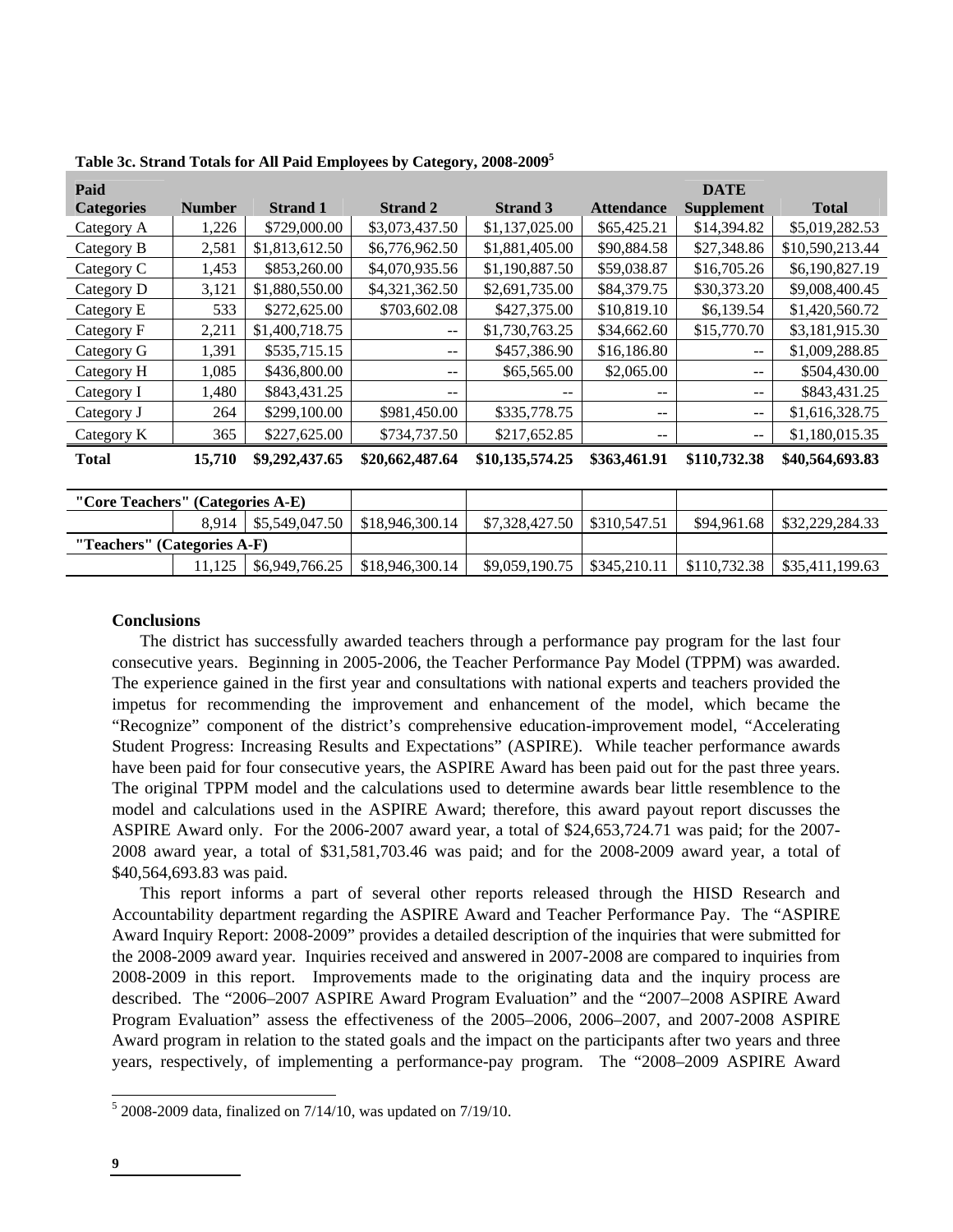| Paid<br><b>Categories</b>        | <b>Number</b> | <b>Strand 1</b> | <b>Strand 2</b> | <b>Strand 3</b> | <b>Attendance</b> | <b>DATE</b><br><b>Supplement</b> | <b>Total</b>    |
|----------------------------------|---------------|-----------------|-----------------|-----------------|-------------------|----------------------------------|-----------------|
| Category A                       | 1,226         | \$729,000.00    | \$3,073,437.50  | \$1,137,025.00  | \$65,425.21       | \$14,394.82                      | \$5,019,282.53  |
|                                  |               |                 |                 |                 |                   |                                  |                 |
| Category B                       | 2,581         | \$1,813,612.50  | \$6,776,962.50  | \$1,881,405.00  | \$90,884.58       | \$27,348.86                      | \$10,590,213.44 |
| Category C                       | 1,453         | \$853,260.00    | \$4,070,935.56  | \$1,190,887.50  | \$59,038.87       | \$16,705.26                      | \$6,190,827.19  |
| Category D                       | 3,121         | \$1,880,550.00  | \$4,321,362.50  | \$2,691,735.00  | \$84,379.75       | \$30,373.20                      | \$9,008,400.45  |
| Category E                       | 533           | \$272,625.00    | \$703,602.08    | \$427,375.00    | \$10,819.10       | \$6,139.54                       | \$1,420,560.72  |
| Category F                       | 2,211         | \$1,400,718.75  | --              | \$1,730,763.25  | \$34,662.60       | \$15,770.70                      | \$3,181,915.30  |
| Category G                       | 1,391         | \$535,715.15    | --              | \$457,386.90    | \$16,186.80       | --                               | \$1,009,288.85  |
| Category H                       | 1,085         | \$436,800.00    | --              | \$65,565.00     | \$2,065.00        | $- -$                            | \$504,430.00    |
| Category I                       | 1,480         | \$843,431.25    | --              | --              | --                | --                               | \$843,431.25    |
| Category J                       | 264           | \$299,100.00    | \$981,450.00    | \$335,778.75    | --                | $\qquad \qquad -$                | \$1,616,328.75  |
| Category K                       | 365           | \$227,625.00    | \$734,737.50    | \$217,652.85    | --                | --                               | \$1,180,015.35  |
| <b>Total</b>                     | 15,710        | \$9,292,437.65  | \$20,662,487.64 | \$10,135,574.25 | \$363,461.91      | \$110,732.38                     | \$40,564,693.83 |
|                                  |               |                 |                 |                 |                   |                                  |                 |
| "Core Teachers" (Categories A-E) |               |                 |                 |                 |                   |                                  |                 |

| Table 3c. Strand Totals for All Paid Employees by Category, 2008-2009 <sup>5</sup> |  |  |  |  |  |  |
|------------------------------------------------------------------------------------|--|--|--|--|--|--|
|------------------------------------------------------------------------------------|--|--|--|--|--|--|

| "Core Teachers" (Categories A-E) |        |                        |                                                |                                |              |              |                 |
|----------------------------------|--------|------------------------|------------------------------------------------|--------------------------------|--------------|--------------|-----------------|
|                                  |        | 8,914   \$5,549,047.50 | \$18,946,300.14                                | \$7,328,427.50                 | \$310,547.51 | \$94.961.68  | \$32,229,284.33 |
| "Teachers" (Categories A-F)      |        |                        |                                                |                                |              |              |                 |
|                                  | 11.125 |                        | $$6,949,766.25 \;   \; $18,946,300.14 \;   \;$ | $$9,059,190.75$   \$345,210.11 |              | \$110,732.38 | \$35,411,199.63 |

## **Conclusions**

The district has successfully awarded teachers through a performance pay program for the last four consecutive years. Beginning in 2005-2006, the Teacher Performance Pay Model (TPPM) was awarded. The experience gained in the first year and consultations with national experts and teachers provided the impetus for recommending the improvement and enhancement of the model, which became the "Recognize" component of the district's comprehensive education-improvement model, "Accelerating Student Progress: Increasing Results and Expectations" (ASPIRE). While teacher performance awards have been paid for four consecutive years, the ASPIRE Award has been paid out for the past three years. The original TPPM model and the calculations used to determine awards bear little resemblence to the model and calculations used in the ASPIRE Award; therefore, this award payout report discusses the ASPIRE Award only. For the 2006-2007 award year, a total of \$24,653,724.71 was paid; for the 2007- 2008 award year, a total of \$31,581,703.46 was paid; and for the 2008-2009 award year, a total of \$40,564,693.83 was paid.

This report informs a part of several other reports released through the HISD Research and Accountability department regarding the ASPIRE Award and Teacher Performance Pay. The "ASPIRE Award Inquiry Report: 2008-2009" provides a detailed description of the inquiries that were submitted for the 2008-2009 award year. Inquiries received and answered in 2007-2008 are compared to inquiries from 2008-2009 in this report. Improvements made to the originating data and the inquiry process are described. The "2006–2007 ASPIRE Award Program Evaluation" and the "2007–2008 ASPIRE Award Program Evaluation" assess the effectiveness of the 2005–2006, 2006–2007, and 2007-2008 ASPIRE Award program in relation to the stated goals and the impact on the participants after two years and three years, respectively, of implementing a performance-pay program. The "2008–2009 ASPIRE Award

 $\overline{a}$ 

 $52008 - 2009$  data, finalized on  $7/14/10$ , was updated on  $7/19/10$ .